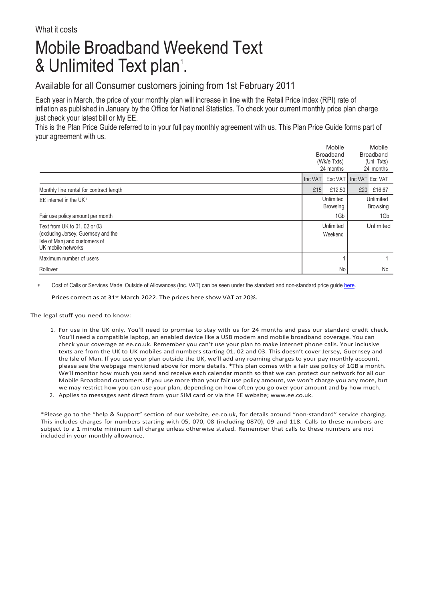## Mobile Broadband Weekend Text & Unlimited Text plan'.

## Available for all Consumer customers joining from 1st February 2011

Each year in March, the price of your monthly plan will increase in line with the Retail Price Index (RPI) rate of inflation as published in January by the Office for National Statistics. To check your current monthly price plan charge just check your latest bill or My EE.

This is the Plan Price Guide referred to in your full pay monthly agreement with us. This Plan Price Guide forms part of your agreement with us.

|                                         | Mobile<br><b>Broadband</b><br>(Wk/e Txts)<br>24 months |           |                         | Mobile          |  |
|-----------------------------------------|--------------------------------------------------------|-----------|-------------------------|-----------------|--|
|                                         |                                                        |           |                         | Broadband       |  |
|                                         |                                                        |           |                         | (Uni Txts)      |  |
|                                         |                                                        |           | 24 months               |                 |  |
|                                         | Inc VAT                                                |           | Exc VAT Inc VAT Exc VAT |                 |  |
| Monthly line rental for contract length | £15                                                    | £12.50    | £20                     | £16.67          |  |
| EE internet in the UK <sup>1</sup>      |                                                        | Unlimited |                         | Unlimited       |  |
|                                         |                                                        | Browsing  |                         | <b>Browsing</b> |  |
| Fair use policy amount per month        | 1Gb                                                    |           |                         | 1Gb             |  |
| Text from UK to 01, 02 or 03            | Unlimited                                              |           | Unlimited               |                 |  |
| (excluding Jersey, Guernsey and the     | Weekend                                                |           |                         |                 |  |
| Isle of Man) and customers of           |                                                        |           |                         |                 |  |
| UK mobile networks                      |                                                        |           |                         |                 |  |
| Maximum number of users                 |                                                        |           |                         |                 |  |
| Rollover                                |                                                        | No        |                         | No              |  |

Cost of Calls or Services Made Outside of Allowances (Inc. VAT) can be seen under the standard and non-standard price guid[e here.](https://ee.co.uk/help/help-new/price-plans/legacy-brand/pay-monthly-price-plans)

Prices correct as at 31st March 2022. The prices here show VAT at 20%.

The legal stuff you need to know:

- 1. For use in the UK only. You'll need to promise to stay with us for 24 months and pass our standard credit check. You'll need a compatible laptop, an enabled device like a USB modem and mobile broadband coverage. You can check your coverage at ee.co.uk. Remember you can't use your plan to make internet phone calls. Your inclusive texts are from the UK to UK mobiles and numbers starting 01, 02 and 03. This doesn't cover Jersey, Guernsey and the Isle of Man. If you use your plan outside the UK, we'll add any roaming charges to your pay monthly account, please see the webpage mentioned above for more details. \*This plan comes with a fair use policy of 1GB a month. We'll monitor how much you send and receive each calendar month so that we can protect our network for all our Mobile Broadband customers. If you use more than your fair use policy amount, we won't charge you any more, but we may restrict how you can use your plan, depending on how often you go over your amount and by how much.
- 2. Applies to messages sent direct from your SIM card or via the EE website; [www.ee.co.uk.](http://www.ee.co.uk/)

\*Please go to the "help & Support" section of our website, ee.co.uk, for details around "non-standard" service charging. This includes charges for numbers starting with 05, 070, 08 (including 0870), 09 and 118. Calls to these numbers are subject to a 1 minute minimum call charge unless otherwise stated. Remember that calls to these numbers are not included in your monthly allowance.